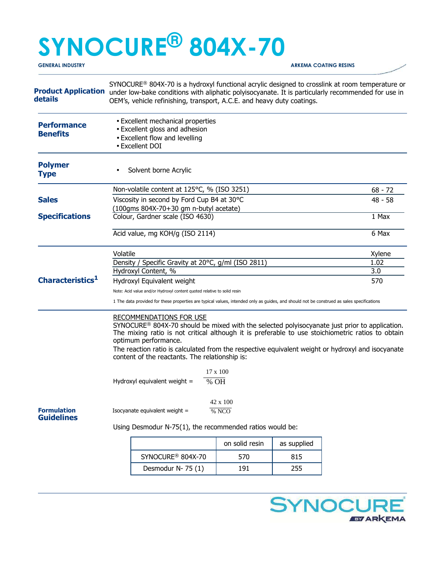# **SYNOCURE® 804X-70 GENERAL INDUSTRY ARKEMA COATING RESINS**

**Product Application details**  SYNOCURE<sup>®</sup> 804X-70 is a hydroxyl functional acrylic designed to crosslink at room temperature or under low-bake conditions with aliphatic polyisocyanate. It is particularly recommended for use in OEM's, vehicle refinishing, transport, A.C.E. and heavy duty coatings. **Performance** • Excellent mechanical properties • Excellent gloss and adhesion • Excellent flow and levelling • Excellent DOI **Benefits Polymer**  • Solvent borne Acrylic **Type** Non-volatile content at 125°C, % (ISO 3251) 68 - 72 **Sales** Viscosity in second by Ford Cup B4 at 30°C 48 - 58 **Specifications**  (100gms 804X-70+30 gm n-butyl acetate) Colour, Gardner scale (ISO 4630) 1 Max Acid value, mg KOH/g (ISO 2114) 6 Max Volatile Xylene Density / Specific Gravity at 20°C, g/ml (ISO 2811) 1.02 Hydroxyl Content, % 3.0 **Characteristics<sup>1</sup>** Hydroxyl Equivalent weight 570 Note: Acid value and/or Hydroxyl content quoted relative to solid resin 1 The data provided for these properties are typical values, intended only as guides, and should not be construed as sales specifications RECOMMENDATIONS FOR USE SYNOCURE® 804X-70 should be mixed with the selected polyisocyanate just prior to application. The mixing ratio is not critical although it is preferable to use stoichiometric ratios to obtain optimum performance. The reaction ratio is calculated from the respective equivalent weight or hydroxyl and isocyanate content of the reactants. The relationship is: 17 x 100 Hydroxyl equivalent weight =  $\sqrt{\frac{6}{9}}$  OH 42 x 100 **Formulation** Isocyanate equivalent weight =  $\frac{}{% NCO}$ **Guidelines**  Using Desmodur N-75(1), the recommended ratios would be:

|                               | on solid resin | as supplied |
|-------------------------------|----------------|-------------|
| SYNOCURE <sup>®</sup> 804X-70 | 570            | 815         |
| Desmodur N-75 (1)             | 191            | 255         |